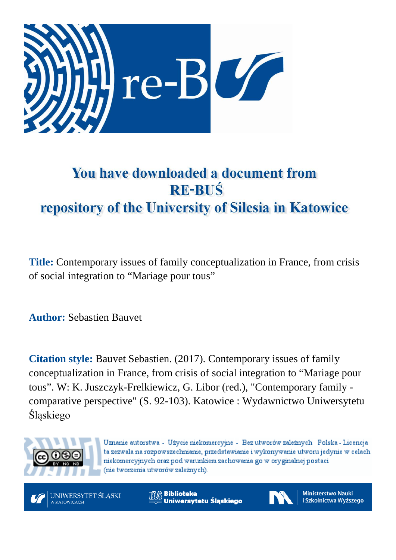

# You have downloaded a document from **RE-BUŚ** repository of the University of Silesia in Katowice

**Title:** Contemporary issues of family conceptualization in France, from crisis of social integration to "Mariage pour tous"

**Author:** Sebastien Bauvet

**Citation style:** Bauvet Sebastien. (2017). Contemporary issues of family conceptualization in France, from crisis of social integration to "Mariage pour tous". W: K. Juszczyk-Frelkiewicz, G. Libor (red.), "Contemporary family comparative perspective" (S. 92-103). Katowice : Wydawnictwo Uniwersytetu Śląskiego



Uznanie autorstwa - Użycie niekomercyjne - Bez utworów zależnych Polska - Licencja ta zezwala na rozpowszechnianie, przedstawianie i wykonywanie utworu jedynie w celach niekomercyjnych oraz pod warunkiem zachowania go w oryginalnej postaci (nie tworzenia utworów zależnych).



**Biblioteka** Uniwersytetu Śląskiego



**Ministerstwo Nauki** i Szkolnictwa Wyższego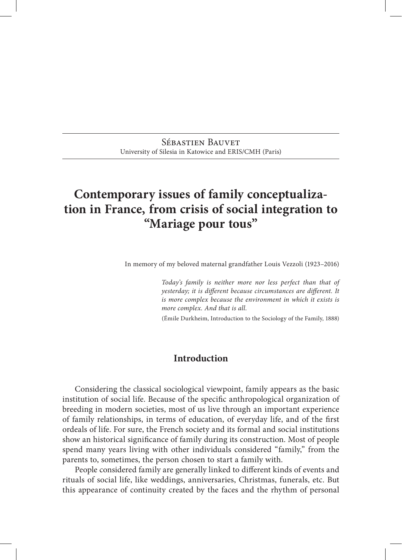Sébastien Bauvet University of Silesia in Katowice and ERIS/CMH (Paris)

# **Contemporary issues of family conceptualiza‑ tion in France, from crisis of social integration to "Mariage pour tous"**

In memory of my beloved maternal grandfather Louis Vezzoli (1923–2016)

*Today's family is neither more nor less perfect than that of yesterday; it is different because circumstances are different. It is more complex because the environment in which it exists is more complex. And that is all.*

(Émile Durkheim, Introduction to the Sociology of the Family, 1888)

#### **Introduction**

Considering the classical sociological viewpoint, family appears as the basic institution of social life. Because of the specific anthropological organization of breeding in modern societies, most of us live through an important experience of family relationships, in terms of education, of everyday life, and of the first ordeals of life. For sure, the French society and its formal and social institutions show an historical significance of family during its construction. Most of people spend many years living with other individuals considered "family," from the parents to, sometimes, the person chosen to start a family with.

People considered family are generally linked to different kinds of events and rituals of social life, like weddings, anniversaries, Christmas, funerals, etc. But this appearance of continuity created by the faces and the rhythm of personal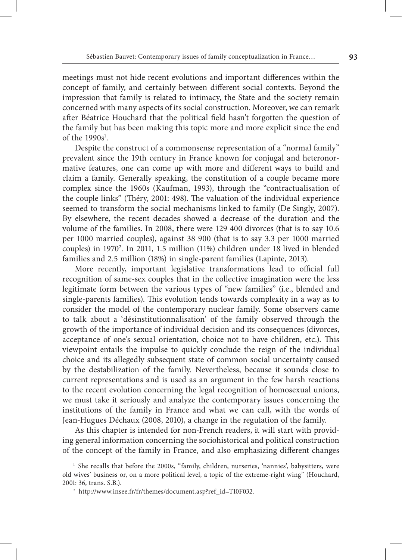meetings must not hide recent evolutions and important differences within the concept of family, and certainly between different social contexts. Beyond the impression that family is related to intimacy, the State and the society remain concerned with many aspects of its social construction. Moreover, we can remark after Béatrice Houchard that the political field hasn't forgotten the question of the family but has been making this topic more and more explicit since the end of the  $1990s<sup>1</sup>$ .

Despite the construct of a commonsense representation of a "normal family" prevalent since the 19th century in France known for conjugal and heteronormative features, one can come up with more and different ways to build and claim a family. Generally speaking, the constitution of a couple became more complex since the 1960s (Kaufman, 1993), through the "contractualisation of the couple links" (Théry, 2001: 498). The valuation of the individual experience seemed to transform the social mechanisms linked to family (De Singly, 2007). By elsewhere, the recent decades showed a decrease of the duration and the volume of the families. In 2008, there were 129 400 divorces (that is to say 10.6 per 1000 married couples), against 38 900 (that is to say 3.3 per 1000 married couples) in 1970<sup>2</sup>. In 2011, 1.5 million (11%) children under 18 lived in blended families and 2.5 million (18%) in single-parent families (Lapinte, 2013).

More recently, important legislative transformations lead to official full recognition of same‑sex couples that in the collective imagination were the less legitimate form between the various types of "new families" (i.e., blended and single-parents families). This evolution tends towards complexity in a way as to consider the model of the contemporary nuclear family. Some observers came to talk about a 'désinstitutionnalisation' of the family observed through the growth of the importance of individual decision and its consequences (divorces, acceptance of one's sexual orientation, choice not to have children, etc.). This viewpoint entails the impulse to quickly conclude the reign of the individual choice and its allegedly subsequent state of common social uncertainty caused by the destabilization of the family. Nevertheless, because it sounds close to current representations and is used as an argument in the few harsh reactions to the recent evolution concerning the legal recognition of homosexual unions, we must take it seriously and analyze the contemporary issues concerning the institutions of the family in France and what we can call, with the words of Jean‑Hugues Déchaux (2008, 2010), a change in the regulation of the family.

As this chapter is intended for non-French readers, it will start with providing general information concerning the sociohistorical and political construction of the concept of the family in France, and also emphasizing different changes

<sup>&</sup>lt;sup>1</sup> She recalls that before the 2000s, "family, children, nurseries, 'nannies', babysitters, were old wives' business or, on a more political level, a topic of the extreme-right wing" (Houchard, 2001: 36, trans. S.B.).

<sup>2</sup> http://www.insee.fr/fr/themes/document.asp?ref\_id=T10F032.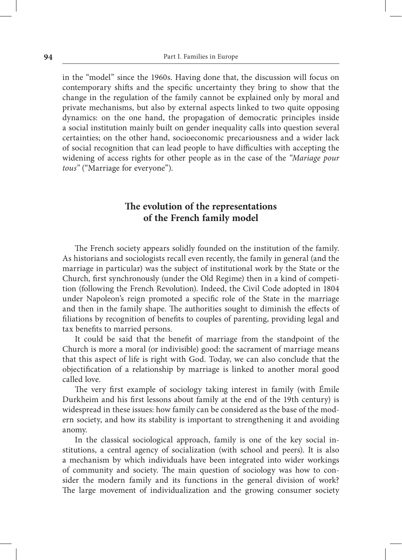in the "model" since the 1960s. Having done that, the discussion will focus on contemporary shifts and the specific uncertainty they bring to show that the change in the regulation of the family cannot be explained only by moral and private mechanisms, but also by external aspects linked to two quite opposing dynamics: on the one hand, the propagation of democratic principles inside a social institution mainly built on gender inequality calls into question several certainties; on the other hand, socioeconomic precariousness and a wider lack of social recognition that can lead people to have difficulties with accepting the widening of access rights for other people as in the case of the *"Mariage pour tous"* ("Marriage for everyone").

# **The evolution of the representations of the French family model**

The French society appears solidly founded on the institution of the family. As historians and sociologists recall even recently, the family in general (and the marriage in particular) was the subject of institutional work by the State or the Church, first synchronously (under the Old Regime) then in a kind of competi‑ tion (following the French Revolution). Indeed, the Civil Code adopted in 1804 under Napoleon's reign promoted a specific role of the State in the marriage and then in the family shape. The authorities sought to diminish the effects of filiations by recognition of benefits to couples of parenting, providing legal and tax benefits to married persons.

It could be said that the benefit of marriage from the standpoint of the Church is more a moral (or indivisible) good: the sacrament of marriage means that this aspect of life is right with God. Today, we can also conclude that the objectification of a relationship by marriage is linked to another moral good called love.

The very first example of sociology taking interest in family (with Émile Durkheim and his first lessons about family at the end of the 19th century) is widespread in these issues: how family can be considered as the base of the modern society, and how its stability is important to strengthening it and avoiding anomy.

In the classical sociological approach, family is one of the key social institutions, a central agency of socialization (with school and peers). It is also a mechanism by which individuals have been integrated into wider workings of community and society. The main question of sociology was how to consider the modern family and its functions in the general division of work? The large movement of individualization and the growing consumer society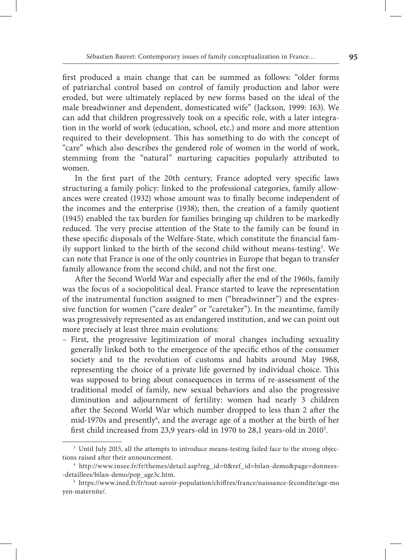first produced a main change that can be summed as follows: "older forms of patriarchal control based on control of family production and labor were eroded, but were ultimately replaced by new forms based on the ideal of the male breadwinner and dependent, domesticated wife" (Jackson, 1999: 163). We can add that children progressively took on a specific role, with a later integration in the world of work (education, school, etc.) and more and more attention required to their development. This has something to do with the concept of "care" which also describes the gendered role of women in the world of work, stemming from the "natural" nurturing capacities popularly attributed to women.

In the first part of the 20th century, France adopted very specific laws structuring a family policy: linked to the professional categories, family allowances were created (1932) whose amount was to finally become independent of the incomes and the enterprise (1938); then, the creation of a family quotient (1945) enabled the tax burden for families bringing up children to be markedly reduced. The very precise attention of the State to the family can be found in these specific disposals of the Welfare-State, which constitute the financial family support linked to the birth of the second child without means‑testing3 . We can note that France is one of the only countries in Europe that began to transfer family allowance from the second child, and not the first one.

After the Second World War and especially after the end of the 1960s, family was the focus of a sociopolitical deal. France started to leave the representation of the instrumental function assigned to men ("breadwinner") and the expres‑ sive function for women ("care dealer" or "caretaker"). In the meantime, family was progressively represented as an endangered institution, and we can point out more precisely at least three main evolutions:

– First, the progressive legitimization of moral changes including sexuality generally linked both to the emergence of the specific ethos of the consumer society and to the revolution of customs and habits around May 1968, representing the choice of a private life governed by individual choice. This was supposed to bring about consequences in terms of re‑assessment of the traditional model of family, new sexual behaviors and also the progressive diminution and adjournment of fertility: women had nearly 3 children after the Second World War which number dropped to less than 2 after the mid-1970s and presently<sup>4</sup>, and the average age of a mother at the birth of her first child increased from 23,9 years‑old in 1970 to 28,1 years‑old in 20105 .

<sup>&</sup>lt;sup>3</sup> Until July 2015, all the attempts to introduce means-testing failed face to the strong objections raised after their announcement.

<sup>&</sup>lt;sup>4</sup> http://www.insee.fr/fr/themes/detail.asp?reg\_id=0&ref\_id=bilan-demo&page=donnees-‑detaillees/bilan‑demo/pop\_age3c.htm.

 $^5$ https://www.ined.fr/fr/tout-savoir-population/chiffres/france/naissance-fecondite/age-mo yen‑maternite/.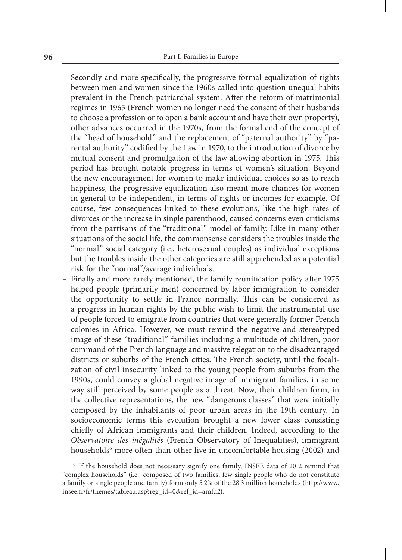- Secondly and more specifically, the progressive formal equalization of rights between men and women since the 1960s called into question unequal habits prevalent in the French patriarchal system. After the reform of matrimonial regimes in 1965 (French women no longer need the consent of their husbands to choose a profession or to open a bank account and have their own property), other advances occurred in the 1970s, from the formal end of the concept of the "head of household" and the replacement of "paternal authority" by "parental authority" codified by the Law in 1970, to the introduction of divorce by mutual consent and promulgation of the law allowing abortion in 1975. This period has brought notable progress in terms of women's situation. Beyond the new encouragement for women to make individual choices so as to reach happiness, the progressive equalization also meant more chances for women in general to be independent, in terms of rights or incomes for example. Of course, few consequences linked to these evolutions, like the high rates of divorces or the increase in single parenthood, caused concerns even criticisms from the partisans of the "traditional" model of family. Like in many other situations of the social life, the commonsense considers the troubles inside the "normal" social category (i.e., heterosexual couples) as individual exceptions but the troubles inside the other categories are still apprehended as a potential risk for the "normal"/average individuals.
- Finally and more rarely mentioned, the family reunification policy after 1975 helped people (primarily men) concerned by labor immigration to consider the opportunity to settle in France normally. This can be considered as a progress in human rights by the public wish to limit the instrumental use of people forced to emigrate from countries that were generally former French colonies in Africa. However, we must remind the negative and stereotyped image of these "traditional" families including a multitude of children, poor command of the French language and massive relegation to the disadvantaged districts or suburbs of the French cities. The French society, until the focalization of civil insecurity linked to the young people from suburbs from the 1990s, could convey a global negative image of immigrant families, in some way still perceived by some people as a threat. Now, their children form, in the collective representations, the new "dangerous classes" that were initially composed by the inhabitants of poor urban areas in the 19th century. In socioeconomic terms this evolution brought a new lower class consisting chiefly of African immigrants and their children. Indeed, according to the *Observatoire des inégalités* (French Observatory of Inequalities), immigrant households<sup>6</sup> more often than other live in uncomfortable housing (2002) and

<sup>6</sup> If the household does not necessary signify one family, INSEE data of 2012 remind that "complex households" (i.e., composed of two families, few single people who do not constitute a family or single people and family) form only 5.2% of the 28.3 million households (http://www. insee.fr/fr/themes/tableau.asp?reg\_id=0&ref\_id=amfd2).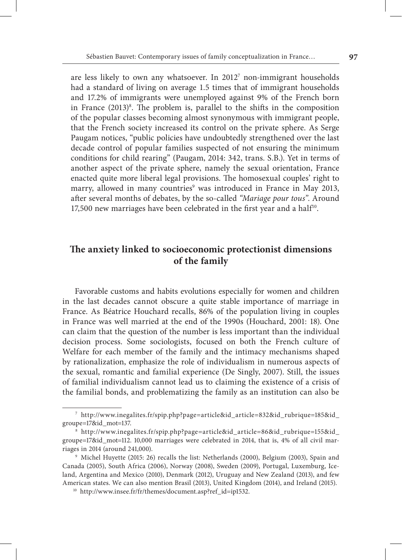are less likely to own any whatsoever. In 20127 non‑immigrant households had a standard of living on average 1.5 times that of immigrant households and 17.2% of immigrants were unemployed against 9% of the French born in France (2013)<sup>8</sup>. The problem is, parallel to the shifts in the composition of the popular classes becoming almost synonymous with immigrant people, that the French society increased its control on the private sphere. As Serge Paugam notices, "public policies have undoubtedly strengthened over the last decade control of popular families suspected of not ensuring the minimum conditions for child rearing" (Paugam, 2014: 342, trans. S.B.). Yet in terms of another aspect of the private sphere, namely the sexual orientation, France enacted quite more liberal legal provisions. The homosexual couples' right to marry, allowed in many countries<sup>9</sup> was introduced in France in May 2013, after several months of debates, by the so‑called *"Mariage pour tous"*. Around 17,500 new marriages have been celebrated in the first year and a half<sup>10</sup>.

## **The anxiety linked to socioeconomic protectionist dimensions of the family**

Favorable customs and habits evolutions especially for women and children in the last decades cannot obscure a quite stable importance of marriage in France. As Béatrice Houchard recalls, 86% of the population living in couples in France was well married at the end of the 1990s (Houchard, 2001: 18). One can claim that the question of the number is less important than the individual decision process. Some sociologists, focused on both the French culture of Welfare for each member of the family and the intimacy mechanisms shaped by rationalization, emphasize the role of individualism in numerous aspects of the sexual, romantic and familial experience (De Singly, 2007). Still, the issues of familial individualism cannot lead us to claiming the existence of a crisis of the familial bonds, and problematizing the family as an institution can also be

<sup>7</sup> http://www.inegalites.fr/spip.php?page=article&id\_article=832&id\_rubrique=185&id\_ groupe=17&id\_mot=137.

<sup>8</sup> http://www.inegalites.fr/spip.php?page=article&id\_article=86&id\_rubrique=155&id\_ groupe=17&id\_mot=112. 10,000 marriages were celebrated in 2014, that is, 4% of all civil mar‑ riages in 2014 (around 241,000).

<sup>9</sup> Michel Huyette (2015: 26) recalls the list: Netherlands (2000), Belgium (2003), Spain and Canada (2005), South Africa (2006), Norway (2008), Sweden (2009), Portugal, Luxemburg, Iceland, Argentina and Mexico (2010), Denmark (2012), Uruguay and New Zealand (2013), and few American states. We can also mention Brasil (2013), United Kingdom (2014), and Ireland (2015).

<sup>&</sup>lt;sup>10</sup> http://www.insee.fr/fr/themes/document.asp?ref\_id=ip1532.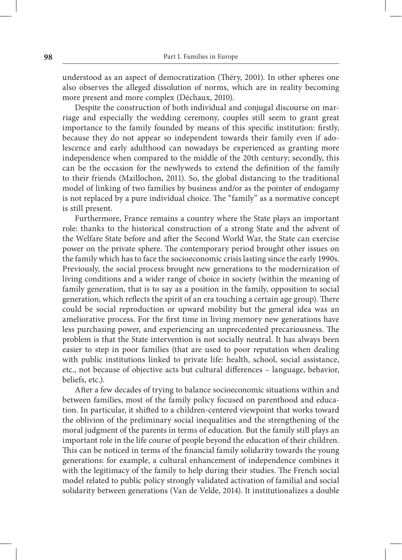understood as an aspect of democratization (Théry, 2001). In other spheres one also observes the alleged dissolution of norms, which are in reality becoming more present and more complex (Déchaux, 2010).

Despite the construction of both individual and conjugal discourse on marriage and especially the wedding ceremony, couples still seem to grant great importance to the family founded by means of this specific institution: firstly, because they do not appear so independent towards their family even if adolescence and early adulthood can nowadays be experienced as granting more independence when compared to the middle of the 20th century; secondly, this can be the occasion for the newlyweds to extend the definition of the family to their friends (Maillochon, 2011). So, the global distancing to the traditional model of linking of two families by business and/or as the pointer of endogamy is not replaced by a pure individual choice. The "family" as a normative concept is still present.

Furthermore, France remains a country where the State plays an important role: thanks to the historical construction of a strong State and the advent of the Welfare State before and after the Second World War, the State can exercise power on the private sphere. The contemporary period brought other issues on the family which has to face the socioeconomic crisis lasting since the early 1990s. Previously, the social process brought new generations to the modernization of living conditions and a wider range of choice in society (within the meaning of family generation, that is to say as a position in the family, opposition to social generation, which reflects the spirit of an era touching a certain age group). There could be social reproduction or upward mobility but the general idea was an ameliorative process. For the first time in living memory new generations have less purchasing power, and experiencing an unprecedented precariousness. The problem is that the State intervention is not socially neutral. It has always been easier to step in poor families (that are used to poor reputation when dealing with public institutions linked to private life: health, school, social assistance, etc., not because of objective acts but cultural differences – language, behavior, beliefs, etc.).

After a few decades of trying to balance socioeconomic situations within and between families, most of the family policy focused on parenthood and education. In particular, it shifted to a children‑centered viewpoint that works toward the oblivion of the preliminary social inequalities and the strengthening of the moral judgment of the parents in terms of education. But the family still plays an important role in the life course of people beyond the education of their children. This can be noticed in terms of the financial family solidarity towards the young generations: for example, a cultural enhancement of independence combines it with the legitimacy of the family to help during their studies. The French social model related to public policy strongly validated activation of familial and social solidarity between generations (Van de Velde, 2014). It institutionalizes a double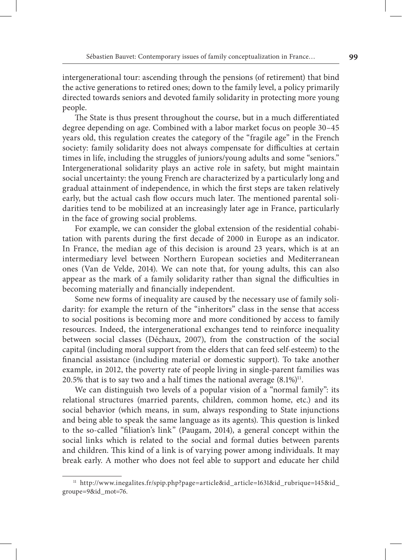intergenerational tour: ascending through the pensions (of retirement) that bind the active generations to retired ones; down to the family level, a policy primarily directed towards seniors and devoted family solidarity in protecting more young people.

The State is thus present throughout the course, but in a much differentiated degree depending on age. Combined with a labor market focus on people 30–45 years old, this regulation creates the category of the "fragile age" in the French society: family solidarity does not always compensate for difficulties at certain times in life, including the struggles of juniors/young adults and some "seniors." Intergenerational solidarity plays an active role in safety, but might maintain social uncertainty: the young French are characterized by a particularly long and gradual attainment of independence, in which the first steps are taken relatively early, but the actual cash flow occurs much later. The mentioned parental solidarities tend to be mobilized at an increasingly later age in France, particularly in the face of growing social problems.

For example, we can consider the global extension of the residential cohabitation with parents during the first decade of 2000 in Europe as an indicator. In France, the median age of this decision is around 23 years, which is at an intermediary level between Northern European societies and Mediterranean ones (Van de Velde, 2014). We can note that, for young adults, this can also appear as the mark of a family solidarity rather than signal the difficulties in becoming materially and financially independent.

Some new forms of inequality are caused by the necessary use of family solidarity: for example the return of the "inheritors" class in the sense that access to social positions is becoming more and more conditioned by access to family resources. Indeed, the intergenerational exchanges tend to reinforce inequality between social classes (Déchaux, 2007), from the construction of the social capital (including moral support from the elders that can feed self‑esteem) to the financial assistance (including material or domestic support). To take another example, in 2012, the poverty rate of people living in single-parent families was 20.5% that is to say two and a half times the national average  $(8.1\%)^{11}$ .

We can distinguish two levels of a popular vision of a "normal family": its relational structures (married parents, children, common home, etc.) and its social behavior (which means, in sum, always responding to State injunctions and being able to speak the same language as its agents). This question is linked to the so-called "filiation's link" (Paugam, 2014), a general concept within the social links which is related to the social and formal duties between parents and children. This kind of a link is of varying power among individuals. It may break early. A mother who does not feel able to support and educate her child

<sup>11</sup> http://www.inegalites.fr/spip.php?page=article&id\_article=1631&id\_rubrique=145&id\_ groupe=9&id\_mot=76.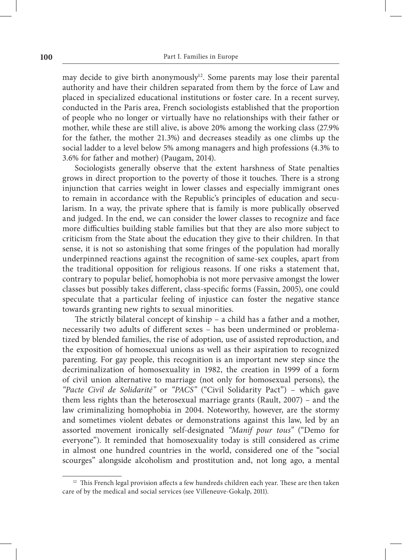may decide to give birth anonymously<sup>12</sup>. Some parents may lose their parental authority and have their children separated from them by the force of Law and placed in specialized educational institutions or foster care. In a recent survey, conducted in the Paris area, French sociologists established that the proportion of people who no longer or virtually have no relationships with their father or mother, while these are still alive, is above 20% among the working class (27.9% for the father, the mother 21.3%) and decreases steadily as one climbs up the social ladder to a level below 5% among managers and high professions (4.3% to 3.6% for father and mother) (Paugam, 2014).

Sociologists generally observe that the extent harshness of State penalties grows in direct proportion to the poverty of those it touches. There is a strong injunction that carries weight in lower classes and especially immigrant ones to remain in accordance with the Republic's principles of education and secularism. In a way, the private sphere that is family is more publically observed and judged. In the end, we can consider the lower classes to recognize and face more difficulties building stable families but that they are also more subject to criticism from the State about the education they give to their children. In that sense, it is not so astonishing that some fringes of the population had morally underpinned reactions against the recognition of same‑sex couples, apart from the traditional opposition for religious reasons. If one risks a statement that, contrary to popular belief, homophobia is not more pervasive amongst the lower classes but possibly takes different, class‑specific forms (Fassin, 2005), one could speculate that a particular feeling of injustice can foster the negative stance towards granting new rights to sexual minorities.

The strictly bilateral concept of kinship – a child has a father and a mother, necessarily two adults of different sexes - has been undermined or problematized by blended families, the rise of adoption, use of assisted reproduction, and the exposition of homosexual unions as well as their aspiration to recognized parenting. For gay people, this recognition is an important new step since the decriminalization of homosexuality in 1982, the creation in 1999 of a form of civil union alternative to marriage (not only for homosexual persons), the *"Pacte Civil de Solidarité"* or *"PACS"* ("Civil Solidarity Pact") – which gave them less rights than the heterosexual marriage grants (Rault, 2007) – and the law criminalizing homophobia in 2004. Noteworthy, however, are the stormy and sometimes violent debates or demonstrations against this law, led by an assorted movement ironically self‑designated *"Manif pour tous"* ("Demo for everyone"). It reminded that homosexuality today is still considered as crime in almost one hundred countries in the world, considered one of the "social scourges" alongside alcoholism and prostitution and, not long ago, a mental

<sup>&</sup>lt;sup>12</sup> This French legal provision affects a few hundreds children each year. These are then taken care of by the medical and social services (see Villeneuve‑Gokalp, 2011).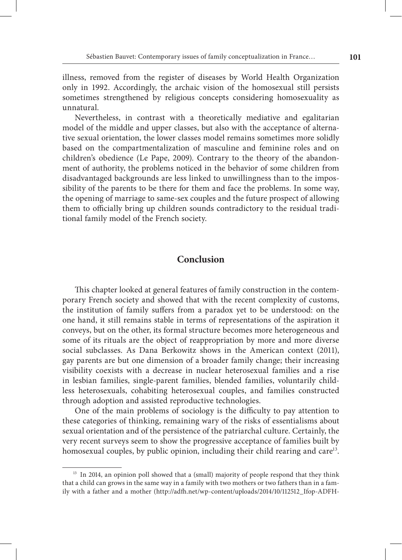illness, removed from the register of diseases by World Health Organization only in 1992. Accordingly, the archaic vision of the homosexual still persists sometimes strengthened by religious concepts considering homosexuality as unnatural.

Nevertheless, in contrast with a theoretically mediative and egalitarian model of the middle and upper classes, but also with the acceptance of alternative sexual orientation, the lower classes model remains sometimes more solidly based on the compartmentalization of masculine and feminine roles and on children's obedience (Le Pape, 2009). Contrary to the theory of the abandonment of authority, the problems noticed in the behavior of some children from disadvantaged backgrounds are less linked to unwillingness than to the impossibility of the parents to be there for them and face the problems. In some way, the opening of marriage to same‑sex couples and the future prospect of allowing them to officially bring up children sounds contradictory to the residual traditional family model of the French society.

#### **Conclusion**

This chapter looked at general features of family construction in the contemporary French society and showed that with the recent complexity of customs, the institution of family suffers from a paradox yet to be understood: on the one hand, it still remains stable in terms of representations of the aspiration it conveys, but on the other, its formal structure becomes more heterogeneous and some of its rituals are the object of reappropriation by more and more diverse social subclasses. As Dana Berkowitz shows in the American context (2011), gay parents are but one dimension of a broader family change; their increasing visibility coexists with a decrease in nuclear heterosexual families and a rise in lesbian families, single-parent families, blended families, voluntarily childless heterosexuals, cohabiting heterosexual couples, and families constructed through adoption and assisted reproductive technologies.

One of the main problems of sociology is the difficulty to pay attention to these categories of thinking, remaining wary of the risks of essentialisms about sexual orientation and of the persistence of the patriarchal culture. Certainly, the very recent surveys seem to show the progressive acceptance of families built by homosexual couples, by public opinion, including their child rearing and care<sup>13</sup>.

<sup>&</sup>lt;sup>13</sup> In 2014, an opinion poll showed that a (small) majority of people respond that they think that a child can grows in the same way in a family with two mothers or two fathers than in a family with a father and a mother (http://adfh.net/wp-content/uploads/2014/10/112512\_Ifop-ADFH-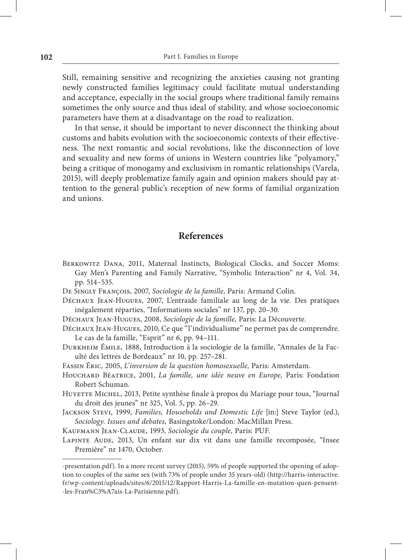Still, remaining sensitive and recognizing the anxieties causing not granting newly constructed families legitimacy could facilitate mutual understanding and acceptance, especially in the social groups where traditional family remains sometimes the only source and thus ideal of stability, and whose socioeconomic parameters have them at a disadvantage on the road to realization.

In that sense, it should be important to never disconnect the thinking about customs and habits evolution with the socioeconomic contexts of their effectiveness. The next romantic and social revolutions, like the disconnection of love and sexuality and new forms of unions in Western countries like "polyamory," being a critique of monogamy and exclusivism in romantic relationships (Varela, 2015), will deeply problematize family again and opinion makers should pay attention to the general public's reception of new forms of familial organization and unions.

### **References**

- Berkowitz Dana, 2011, Maternal Instincts, Biological Clocks, and Soccer Moms: Gay Men's Parenting and Family Narrative, "Symbolic Interaction" nr 4, Vol. 34, pp. 514–535.
- De Singly François, 2007, *Sociologie de la famille,* Paris: Armand Colin.
- Déchaux Jean‑Hugues, 2007, L'entraide familiale au long de la vie. Des pratiques inégalement réparties, "Informations sociales" nr 137, pp. 20–30.
- Déchaux Jean‑Hugues, 2008, *Sociologie de la famille,* Paris: La Découverte.
- Déchaux Jean‑Hugues, 2010, Ce que "l'individualisme" ne permet pas de comprendre. Le cas de la famille, "Esprit" nr 6, pp. 94–111.
- Durkheim Émile, 1888, Introduction à la sociologie de la famille, "Annales de la Fac‑ ulté des lettres de Bordeaux" nr 10, pp. 257–281.
- Fassin Éric, 2005, *L'inversion de la question homosexuelle,* Paris: Amsterdam.
- Houchard Béatrice, 2001, *La famille, une idée neuve en Europe,* Paris: Fondation Robert Schuman.
- HUYETTE MICHEL, 2013, Petite synthèse finale à propos du Mariage pour tous, "Journal du droit des jeunes" nr 325, Vol. 5, pp. 26–29.
- Jackson Stevi, 1999, *Families, Households and Domestic Life* [in:] Steve Taylor (ed.), *Sociology. Issues and debates,* Basingstoke/London: MacMillan Press.
- Kaufmann Jean‑Claude, 1993, *Sociologie du couple,* Paris: PUF.
- LAPINTE AUDE, 2013, Un enfant sur dix vit dans une famille recomposée, "Insee Première" nr 1470, October.

<sup>‑</sup>presentation.pdf). In a more recent survey (2015), 59% of people supported the opening of adop‑ tion to couples of the same sex (with 73% of people under 35 years‑old) (http://harris‑interactive. fr/wp‑content/uploads/sites/6/2015/12/Rapport‑Harris‑La‑famille‑en‑mutation‑quen‑pensent‑ ‑les‑Fran%C3%A7ais‑La‑Parisienne.pdf).